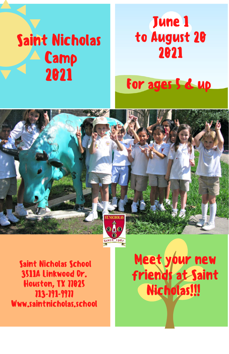# Saint Nicholas **Camp** 2021

## June 1 to August 20 2021

## For ages 5 & up



Saint Nicholas School 3511A Linkwood Dr. Houston, TX 77025 713-791-9977 Www.saintnicholas.school

Meet your new friends at Saint Nicholas!!!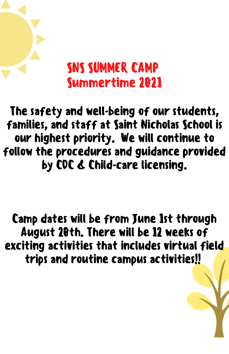## SNS SUMMER CAMP Summertime 2021

Make Disciples The safety and well-being of our students, families, and staff at Saint Nicholas School is our highest priority. We will continue to follow the procedures and guidance provided by CDC & Child-care licensing.

exciting activities that includes virtual field trips and routine campus activities!! Camp dates will be from June 1st through August 20th. There will be 12 weeks of

Contact: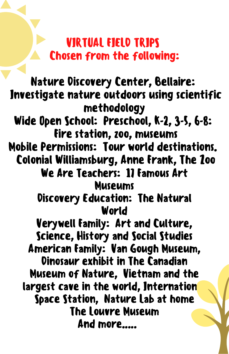#### VIRTUAL FIELD TRIPS Chosen from the following:

Nature Discovery Center, Bellaire: Investigate nature outdoors using scientific methodology Wide Open School: Preschool, K-2, 3-5, 6-8: Fire station, zoo, museums Mobile Permissions: Tour world destinations. Colonial Williamsburg, Anne Frank, The Zoo We Are Teachers: 11 Famous Art Museums Discovery Education: The Natural World Verywell Family: Art and Culture, Science, History and Social Studies American Family: Van Gough Museum, Dinosaur exhibit in The Canadian Museum of Nature, Vietnam and the largest cave in the world, Internation Space Station, Nature Lab at home The Louvre Museum And more.....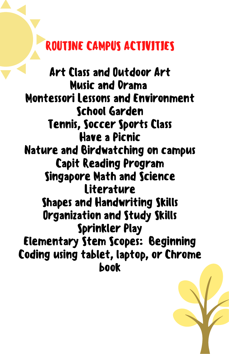## ROUTINE CAMPUS ACTIVITIES

Art Class and Outdoor Art Music and Drama Montessori Lessons and Environment School Garden Tennis, Soccer Sports Class Have a Picnic Nature and Birdwatching on campus Capit Reading Program Singapore Math and Science **Literature** Shapes and Handwriting Skills Organization and Study Skills Sprinkler Play Elementary Stem Scopes: Beginning Coding using tablet, laptop, or Chrome book